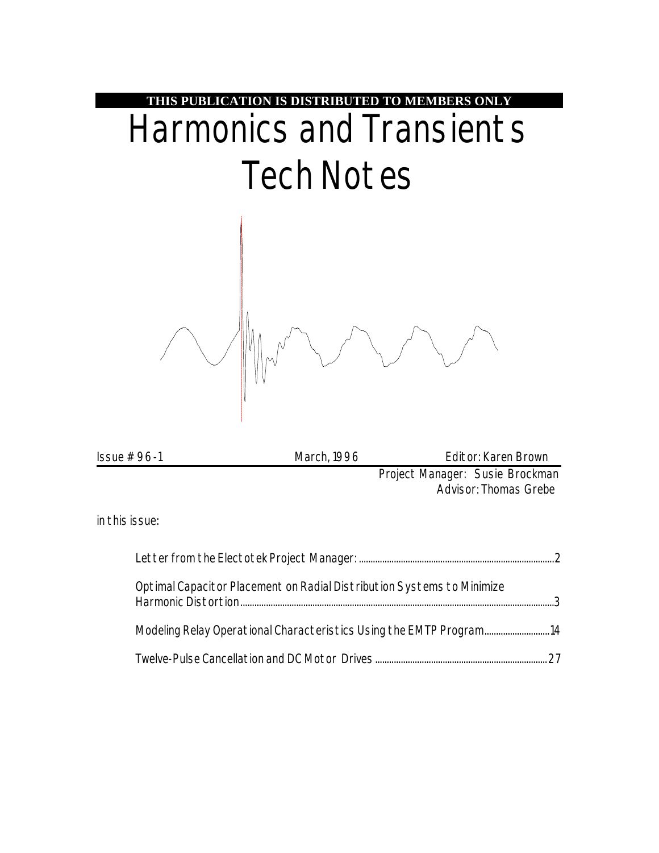

| Issue $# 96-1$ | March, 1996 | Editor: Karen Brown                                             |
|----------------|-------------|-----------------------------------------------------------------|
|                |             | Project Manager: Susie Brockman<br><b>Advisor: Thomas Grebe</b> |
| in this issue: |             |                                                                 |
|                |             |                                                                 |

| Optimal Capacitor Placement on Radial Distribution Systems to Minimize |  |
|------------------------------------------------------------------------|--|
| Modeling Relay Operational Characteristics Using the EMTP Program14    |  |
|                                                                        |  |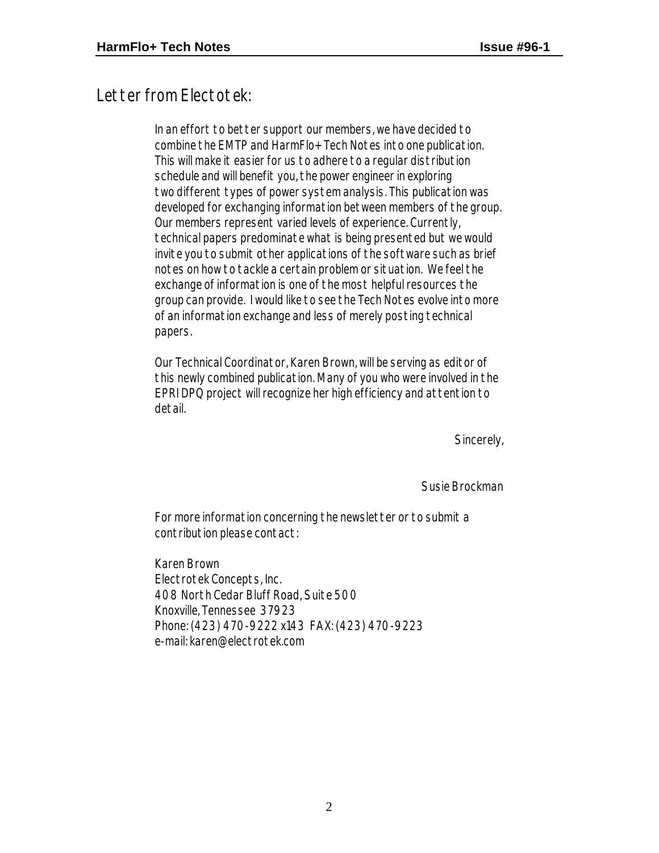### Letter from Electotek:

In an effort to better support our members, we have decided to combine the EMTP and HarmFlo+ Tech Notes into one publication. This will make it easier for us to adhere to a regular distribution schedule and will benefit you, the power engineer in exploring two different types of power system analysis. This publication was developed for exchanging information between members of the group. Our members represent varied levels of experience. Currently, technical papers predominate what is being presented but we would invite you to submit other applications of the software such as brief notes on how to tackle a certain problem or situation. We feel the exchange of information is one of the most helpful resources the group can provide. I would like to see the Tech Notes evolve into more of an information exchange and less of merely posting technical papers.

Our Technical Coordinator, Karen Brown, will be serving as editor of this newly combined publication. Many of you who were involved in the EPRI DPQ project will recognize her high efficiency and attention to detail.

Sincerely,

Susie Brockman

For more information concerning the newsletter or to submit a contribution please contact:

Karen Brown Electrotek Concepts, Inc. 408 North Cedar Bluff Road, Suite 500 Knoxville, Tennessee 37923 Phone: (423) 470-9222 x143 FAX: (423) 470-9223 e-mail: karen@electrotek.com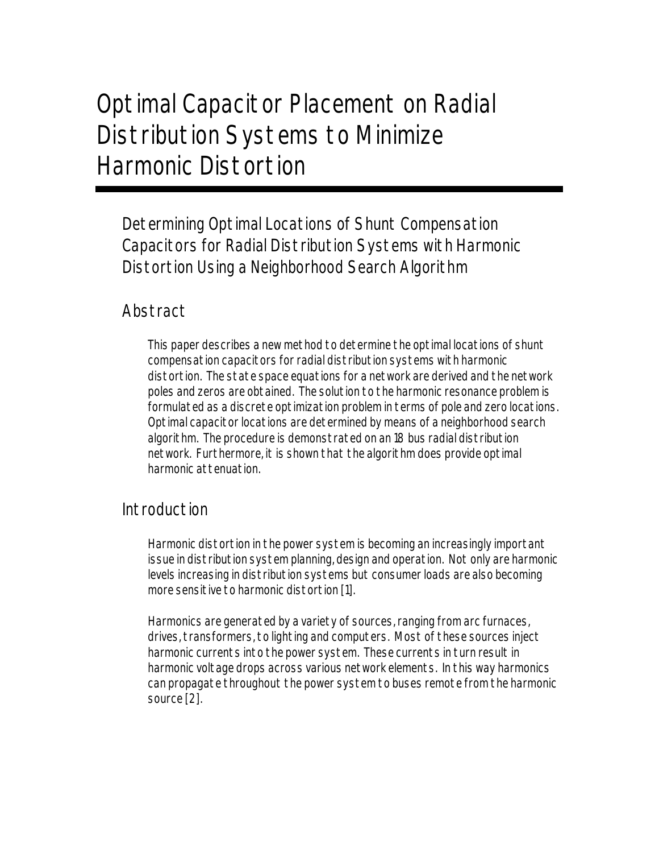# Optimal Capacitor Placement on Radial Distribution Systems to Minimize Harmonic Distortion

Determining Optimal Locations of Shunt Compensation Capacitors for Radial Distribution Systems with Harmonic Distortion Using a Neighborhood Search Algorithm

#### Abstract

This paper describes a new method to determine the optimal locations of shunt compensation capacitors for radial distribution systems with harmonic distortion. The state space equations for a network are derived and the network poles and zeros are obtained. The solution to the harmonic resonance problem is formulated as a discrete optimization problem in terms of pole and zero locations. Optimal capacitor locations are determined by means of a neighborhood search algorithm. The procedure is demonstrated on an 18 bus radial distribution network. Furthermore, it is shown that the algorithm does provide optimal harmonic attenuation.

#### Introduction

Harmonic distortion in the power system is becoming an increasingly important issue in distribution system planning, design and operation. Not only are harmonic levels increasing in distribution systems but consumer loads are also becoming more sensitive to harmonic distortion [1].

Harmonics are generated by a variety of sources, ranging from arc furnaces, drives, transformers, to lighting and computers. Most of these sources inject harmonic currents into the power system. These currents in turn result in harmonic voltage drops across various network elements. In this way harmonics can propagate throughout the power system to buses remote from the harmonic source [2].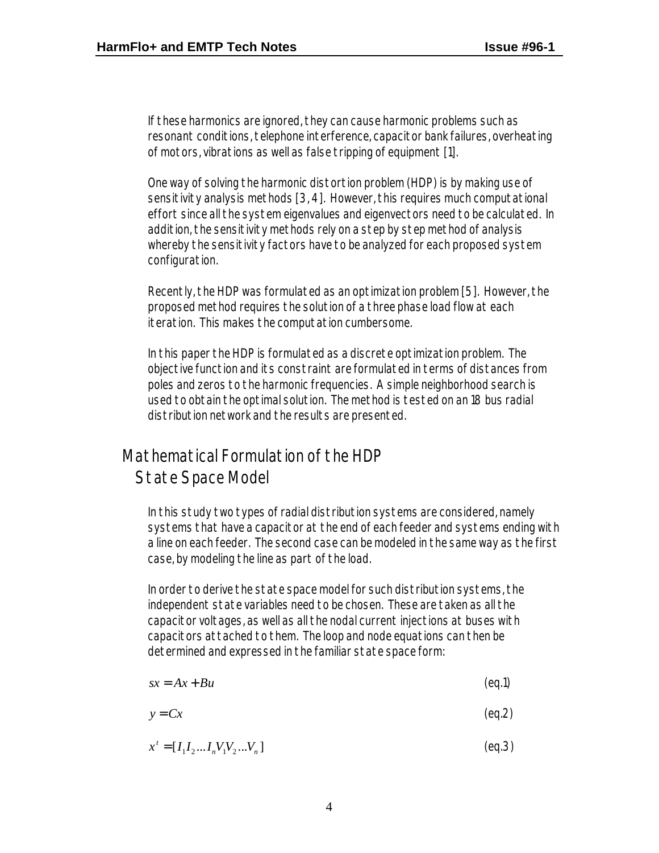If these harmonics are ignored, they can cause harmonic problems such as resonant conditions, telephone interference, capacitor bank failures, overheating of motors, vibrations as well as false tripping of equipment [1].

One way of solving the harmonic distortion problem (HDP) is by making use of sensitivity analysis methods [3, 4]. However, this requires much computational effort since all the system eigenvalues and eigenvectors need to be calculated. In addition, the sensitivity methods rely on a step by step method of analysis whereby the sensitivity factors have to be analyzed for each proposed system configuration.

Recently, the HDP was formulated as an optimization problem [5]. However, the proposed method requires the solution of a three phase load flow at each iteration. This makes the computation cumbersome.

In this paper the HDP is formulated as a discrete optimization problem. The objective function and its constraint are formulated in terms of distances from poles and zeros to the harmonic frequencies. A simple neighborhood search is used to obtain the optimal solution. The method is tested on an 18 bus radial distribution network and the results are presented.

# Mathematical Formulation of the HDP State Space Model

In this study two types of radial distribution systems are considered, namely systems that have a capacitor at the end of each feeder and systems ending with a line on each feeder. The second case can be modeled in the same way as the first case, by modeling the line as part of the load.

In order to derive the state space model for such distribution systems, the independent state variables need to be chosen. These are taken as all the capacitor voltages, as well as all the nodal current injections at buses with capacitors attached to them. The loop and node equations can then be determined and expressed in the familiar state space form:

| $sx = Ax + Bu$ | (eq.1) |
|----------------|--------|
|                |        |

$$
y = Cx \tag{eq.2}
$$

$$
x' = [I_1 I_2 ... I_n V_1 V_2 ... V_n]
$$
 (eq.3)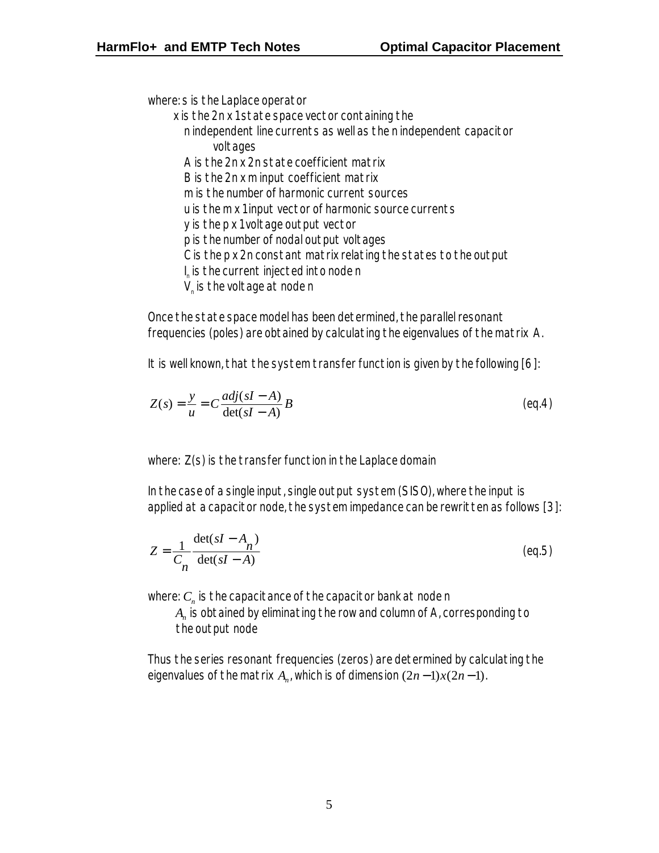where: s is the Laplace operator

 x is the 2n x 1 state space vector containing the n independent line currents as well as the n independent capacitor voltages A is the 2n x 2n state coefficient matrix B is the 2n x m input coefficient matrix m is the number of harmonic current sources u is the m x 1 input vector of harmonic source currents y is the p x 1 voltage output vector p is the number of nodal output voltages C is the p x 2n constant matrix relating the states to the output  $\mathsf{l}_{_\mathsf{n}}$  is the current injected into node n  ${\mathsf V}_{\scriptscriptstyle\rm n}$  is the voltage at node  ${\mathsf n}$ 

Once the state space model has been determined, the parallel resonant frequencies (poles) are obtained by calculating the eigenvalues of the matrix A.

It is well known, that the system transfer function is given by the following [6]:

$$
Z(s) = \frac{y}{u} = C \frac{adj(sI - A)}{det(sI - A)} B
$$
 (eq.4)

where: Z(s) is the transfer function in the Laplace domain

In the case of a single input, single output system (SISO), where the input is applied at a capacitor node, the system impedance can be rewritten as follows [3]:

$$
Z = \frac{1}{C_n} \frac{\det(sI - A_n)}{\det(sI - A)}
$$
(eq.5)

where:  $\textit{\textbf{C}}_{\textit{n}}$  is the capacitance of the capacitor bank at node n

 $A_{\!n}^{}$  is obtained by eliminating the row and column of A, corresponding to the output node

Thus the series resonant frequencies (zeros) are determined by calculating the eigenvalues of the matrix  $A_n$ , which is of dimension  $(2n-1)x(2n-1)$ .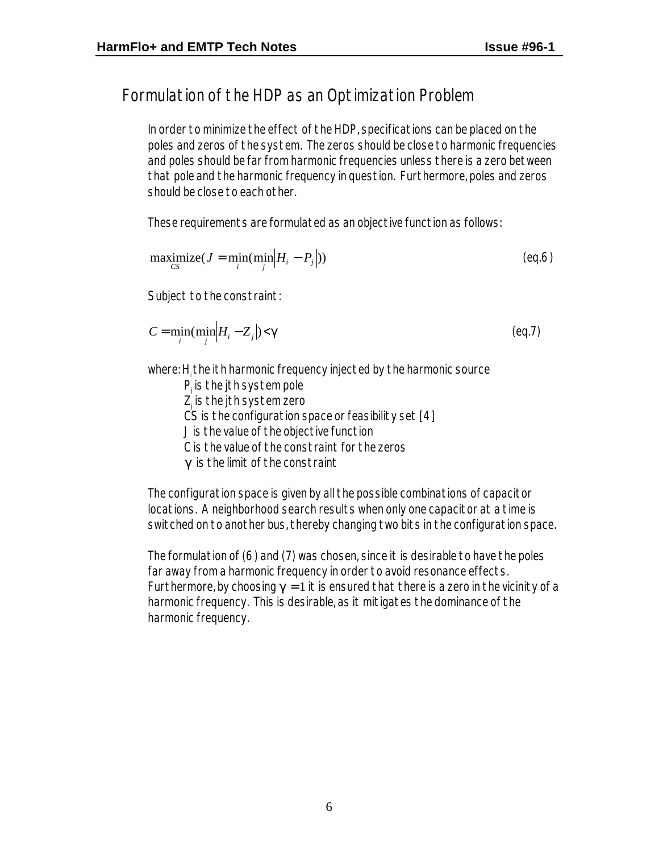# Formulation of the HDP as an Optimization Problem

In order to minimize the effect of the HDP, specifications can be placed on the poles and zeros of the system. The zeros should be close to harmonic frequencies and poles should be far from harmonic frequencies unless there is a zero between that pole and the harmonic frequency in question. Furthermore, poles and zeros should be close to each other.

These requirements are formulated as an objective function as follows:

$$
\text{maximize}_{CS}(J = \min_{i}(\min_{j} |H_{i} - P_{j}|))
$$
\n(eq.6)

Subject to the constraint:

$$
C = \min_{i} (\min_{j} |H_i - Z_j|) < \mathbf{g} \tag{eq.7}
$$

where: H<sub>i</sub> the ith harmonic frequency injected by the harmonic source

P<sub>j</sub> is the jth system pole Z<sub>j</sub> is the jth system zero  $\overline{CS}$  is the configuration space or feasibility set  $[4]$ J is the value of the objective function C is the value of the constraint for the zeros *g* is the limit of the constraint

The configuration space is given by all the possible combinations of capacitor locations. A neighborhood search results when only one capacitor at a time is switched on to another bus, thereby changing two bits in the configuration space.

The formulation of (6) and (7) was chosen, since it is desirable to have the poles far away from a harmonic frequency in order to avoid resonance effects. Furthermore, by choosing  $g = 1$  it is ensured that there is a zero in the vicinity of a harmonic frequency. This is desirable, as it mitigates the dominance of the harmonic frequency.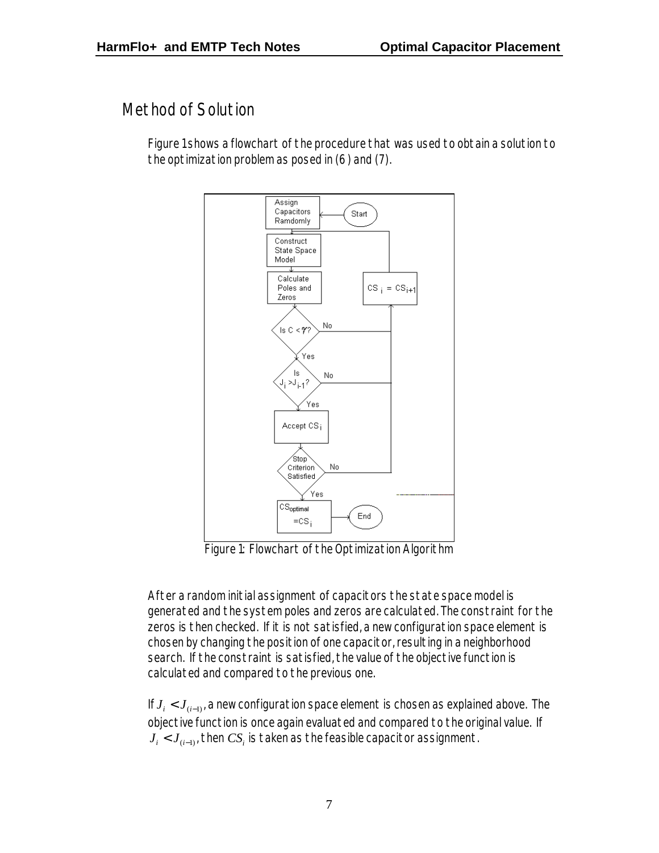#### Method of Solution

Figure 1 shows a flowchart of the procedure that was used to obtain a solution to the optimization problem as posed in (6) and (7).



Figure 1: Flowchart of the Optimization Algorithm

After a random initial assignment of capacitors the state space model is generated and the system poles and zeros are calculated. The constraint for the zeros is then checked. If it is not satisfied, a new configuration space element is chosen by changing the position of one capacitor, resulting in a neighborhood search. If the constraint is satisfied, the value of the objective function is calculated and compared to the previous one.

If  $J_i < J_{(i-1)}$ , a new configuration space element is chosen as explained above. The objective function is once again evaluated and compared to the original value. If  $J_i < J_{(i-1)}$ , then  $CS_i$  is taken as the feasible capacitor assignment.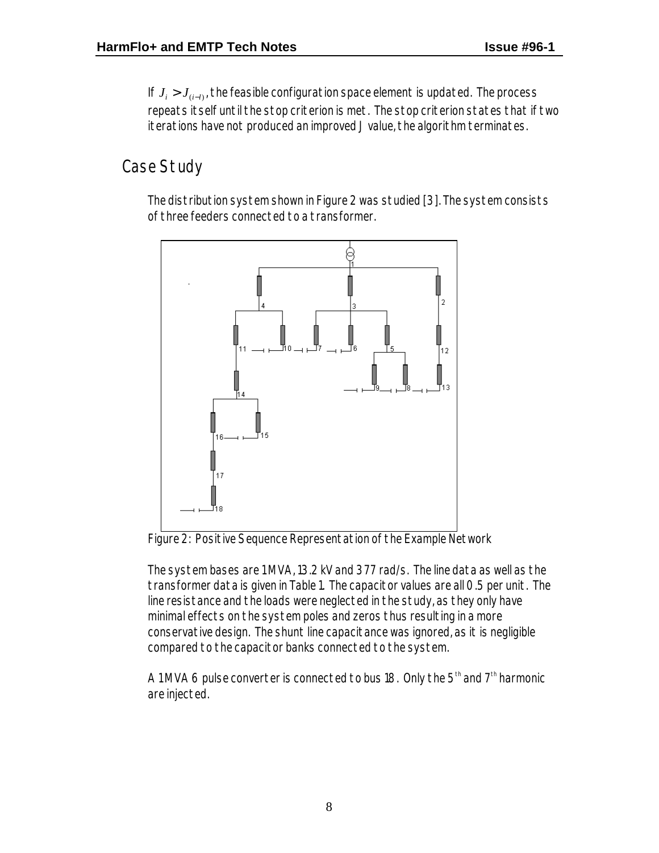If *J J <sup>i</sup>* > (*i*−*l*) , the feasible configuration space element is updated. The process repeats itself until the stop criterion is met. The stop criterion states that if two iterations have not produced an improved J value, the algorithm terminates.

# Case Study

The distribution system shown in Figure 2 was studied [3]. The system consists of three feeders connected to a transformer.





The system bases are 1 MVA, 13.2 kV and 377 rad/s. The line data as well as the transformer data is given in Table 1. The capacitor values are all 0.5 per unit. The line resistance and the loads were neglected in the study, as they only have minimal effects on the system poles and zeros thus resulting in a more conservative design. The shunt line capacitance was ignored, as it is negligible compared to the capacitor banks connected to the system.

A 1 MVA 6 pulse converter is connected to bus 18. Only the  $5<sup>th</sup>$  and  $7<sup>th</sup>$  harmonic are injected.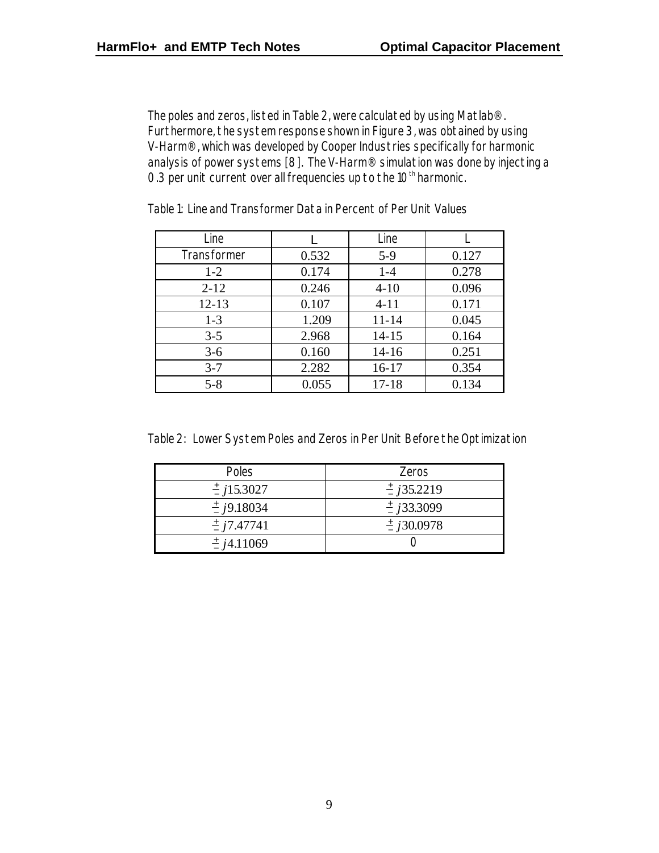The poles and zeros, listed in Table 2, were calculated by using Matlab®. Furthermore, the system response shown in Figure 3, was obtained by using V-Harm®, which was developed by Cooper Industries specifically for harmonic analysis of power systems [8]. The V-Harm® simulation was done by injecting a 0.3 per unit current over all frequencies up to the  $10<sup>th</sup>$  harmonic.

| Line        |       | Line      |       |
|-------------|-------|-----------|-------|
| Transformer | 0.532 | $5-9$     | 0.127 |
| $1-2$       | 0.174 | $1-4$     | 0.278 |
| $2 - 12$    | 0.246 | $4 - 10$  | 0.096 |
| $12 - 13$   | 0.107 | $4 - 11$  | 0.171 |
| $1 - 3$     | 1.209 | $11 - 14$ | 0.045 |
| $3 - 5$     | 2.968 | $14 - 15$ | 0.164 |
| $3-6$       | 0.160 | $14 - 16$ | 0.251 |
| $3 - 7$     | 2.282 | $16 - 17$ | 0.354 |
| $5 - 8$     | 0.055 | $17 - 18$ | 0.134 |

Table 1: Line and Transformer Data in Percent of Per Unit Values

Table 2: Lower System Poles and Zeros in Per Unit Before the Optimization

| Poles                  | Zeros                  |
|------------------------|------------------------|
| $\frac{+}{2}$ j15.3027 | $\frac{+}{2}$ j35.2219 |
| $\frac{+}{2}$ j9.18034 | $\frac{+}{2}$ j33.3099 |
| $\frac{+}{2}$ j7.47741 | $\frac{+}{2}$ j30.0978 |
| $\frac{+}{2}$ j4.11069 |                        |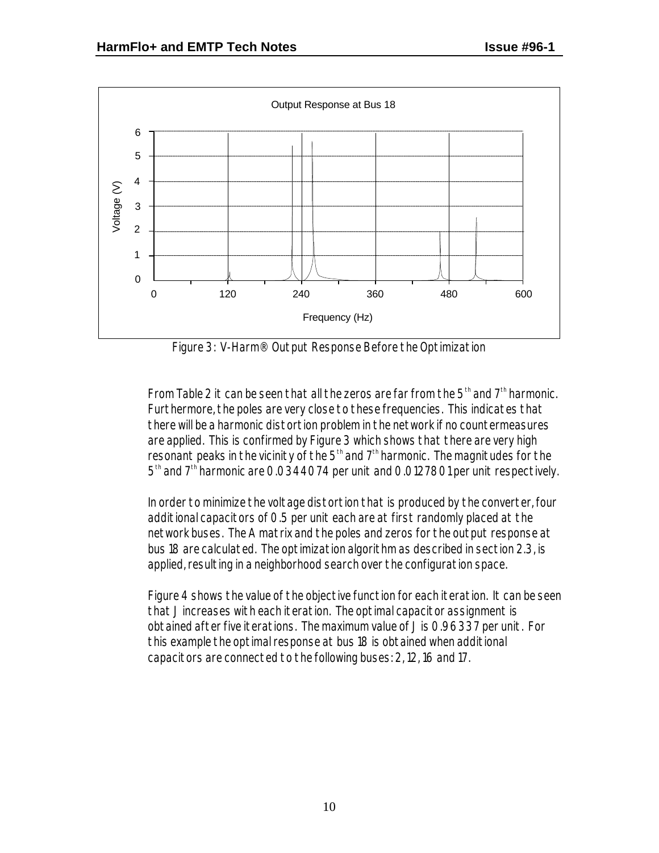

Figure 3: V-Harm® Output Response Before the Optimization

From Table 2 it can be seen that all the zeros are far from the  $5<sup>th</sup>$  and  $7<sup>th</sup>$  harmonic. Furthermore, the poles are very close to these frequencies. This indicates that there will be a harmonic distortion problem in the network if no countermeasures are applied. This is confirmed by Figure 3 which shows that there are very high resonant peaks in the vicinity of the  $5<sup>th</sup>$  and  $7<sup>th</sup>$  harmonic. The magnitudes for the 5<sup>th</sup> and 7<sup>th</sup> harmonic are 0.0344074 per unit and 0.0127801 per unit respectively.

In order to minimize the voltage distortion that is produced by the converter, four additional capacitors of 0.5 per unit each are at first randomly placed at the network buses. The A matrix and the poles and zeros for the output response at bus 18 are calculated. The optimization algorithm as described in section 2.3, is applied, resulting in a neighborhood search over the configuration space.

Figure 4 shows the value of the objective function for each iteration. It can be seen that J increases with each iteration. The optimal capacitor assignment is obtained after five iterations. The maximum value of J is 0.96337 per unit. For this example the optimal response at bus 18 is obtained when additional capacitors are connected to the following buses: 2, 12, 16 and 17.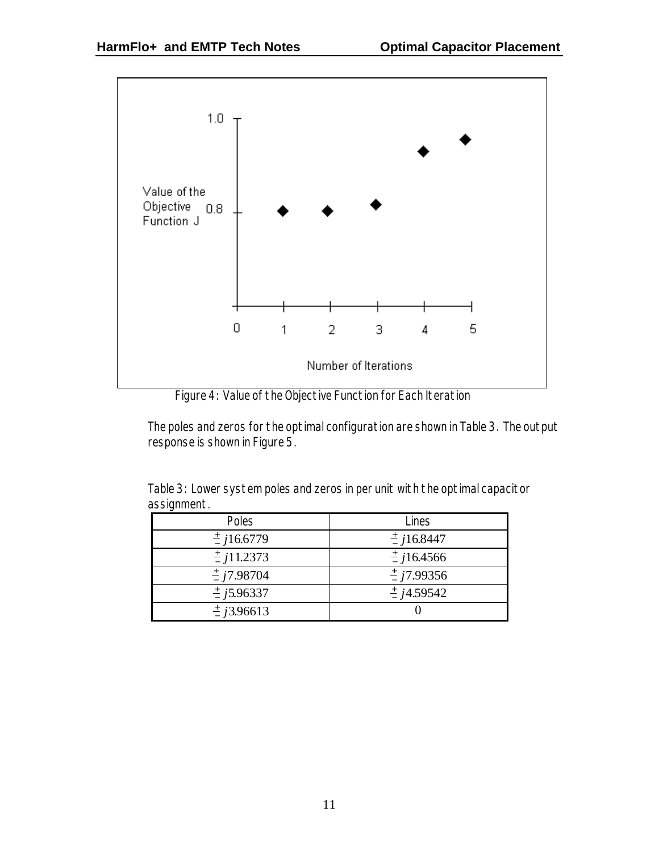

Figure 4: Value of the Objective Function for Each Iteration

The poles and zeros for the optimal configuration are shown in Table 3. The output response is shown in Figure 5.

Table 3: Lower system poles and zeros in per unit with the optimal capacitor assignment.

| Poles                  | Lines                  |
|------------------------|------------------------|
| $\frac{+}{2}$ j16.6779 | $\frac{+}{2}$ j16.8447 |
| $\frac{+}{2}$ j11.2373 | $\frac{+}{2}$ j16.4566 |
| $\frac{+}{2}$ j7.98704 | $\frac{+}{2}$ j7.99356 |
| $\frac{+}{2}$ j5.96337 | $\frac{+}{4}$ j4.59542 |
| $\pm$ j3.96613         |                        |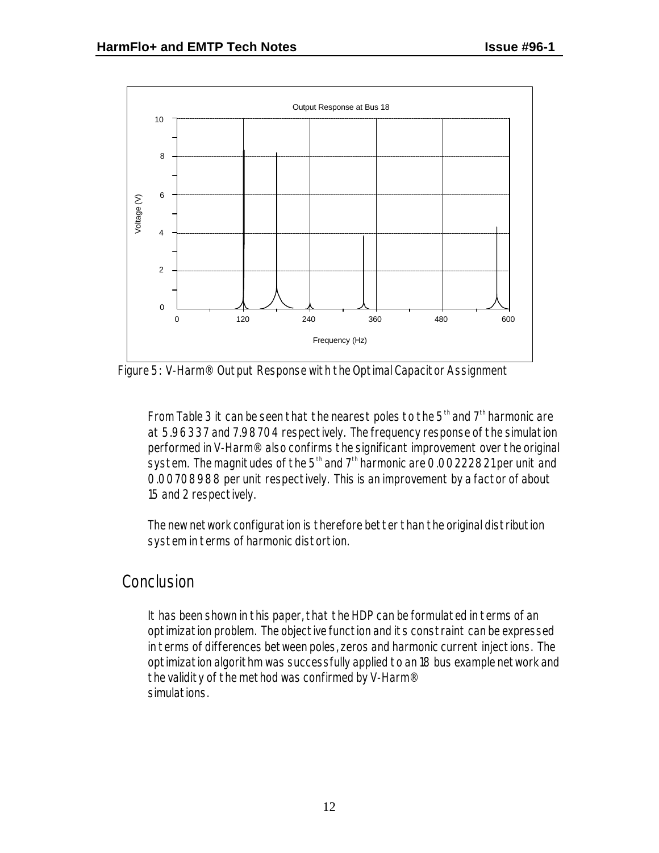

Figure 5: V-Harm® Output Response with the Optimal Capacitor Assignment

From Table 3 it can be seen that the nearest poles to the  $5<sup>th</sup>$  and  $7<sup>th</sup>$  harmonic are at 5.96337 and 7.98704 respectively. The frequency response of the simulation performed in V-Harm® also confirms the significant improvement over the original system. The magnitudes of the  $5<sup>th</sup>$  and  $7<sup>th</sup>$  harmonic are 0.00222821 per unit and 0.00708988 per unit respectively. This is an improvement by a factor of about 15 and 2 respectively.

The new network configuration is therefore better than the original distribution system in terms of harmonic distortion.

#### Conclusion

It has been shown in this paper, that the HDP can be formulated in terms of an optimization problem. The objective function and its constraint can be expressed in terms of differences between poles, zeros and harmonic current injections. The optimization algorithm was successfully applied to an 18 bus example network and the validity of the method was confirmed by V-Harm® simulations.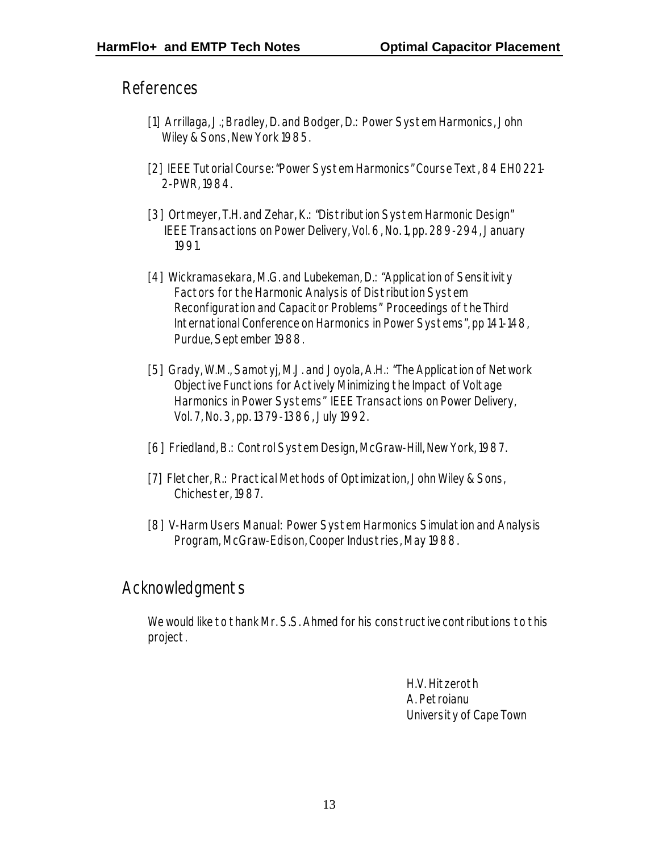References

- [1] Arrillaga, J.; Bradley, D. and Bodger, D.: Power System Harmonics, John Wiley & Sons, New York 1985.
- [2] IEEE Tutorial Course: "Power System Harmonics" Course Text, 84 EH0221- 2-PWR, 1984.
- [3] Ortmeyer, T.H. and Zehar, K.: "Distribution System Harmonic Design" IEEE Transactions on Power Delivery, Vol. 6, No. 1, pp. 289-294, January 1991.
- [4] Wickramasekara, M.G. and Lubekeman, D.: "Application of Sensitivity Factors for the Harmonic Analysis of Distribution System Reconfiguration and Capacitor Problems" Proceedings of the Third International Conference on Harmonics in Power Systems", pp 141-148, Purdue, September 1988.
- [5] Grady, W.M., Samotyj, M.J. and Joyola, A.H.: "The Application of Network Objective Functions for Actively Minimizing the Impact of Voltage Harmonics in Power Systems" IEEE Transactions on Power Delivery, Vol. 7, No. 3, pp. 1379-1386, July 1992.
- [6] Friedland, B.: Control System Design, McGraw-Hill, New York, 1987.
- [7] Fletcher, R.: Practical Methods of Optimization, John Wiley & Sons, Chichester, 1987.
- [8] V-Harm Users Manual: Power System Harmonics Simulation and Analysis Program, McGraw-Edison, Cooper Industries, May 1988.

#### Acknowledgments

We would like to thank Mr. S.S. Ahmed for his constructive contributions to this project.

> H.V. Hitzeroth A. Petroianu University of Cape Town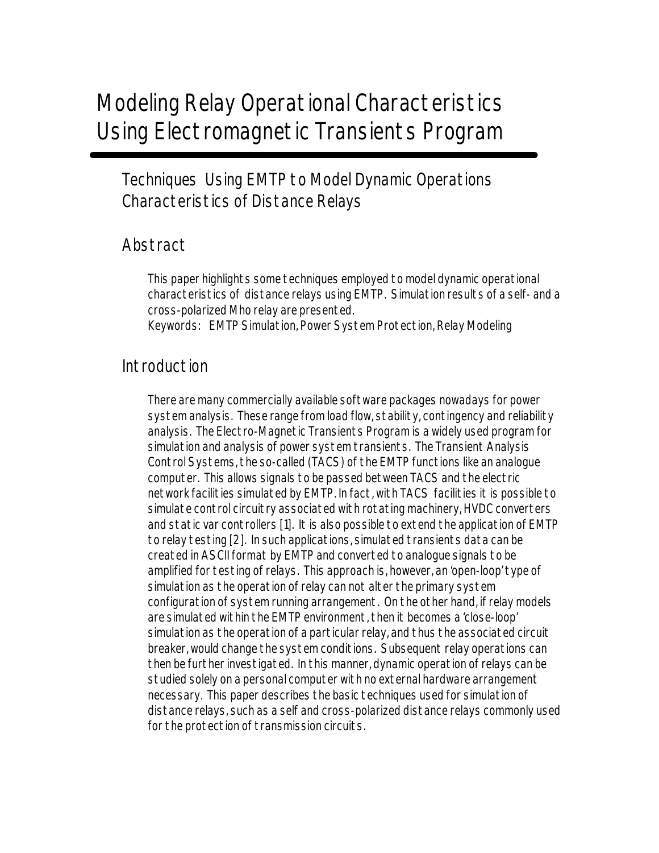# Modeling Relay Operational Characteristics Using Electromagnetic Transients Program

Techniques Using EMTP to Model Dynamic Operations Characteristics of Distance Relays

### Abstract

This paper highlights some techniques employed to model dynamic operational characteristics of distance relays using EMTP. Simulation results of a self- and a cross-polarized Mho relay are presented.

Keywords: EMTP Simulation, Power System Protection, Relay Modeling

#### Introduction

There are many commercially available software packages nowadays for power system analysis. These range from load flow, stability, contingency and reliability analysis. The Electro-Magnetic Transients Program is a widely used program for simulation and analysis of power system transients. The Transient Analysis Control Systems, the so-called (TACS) of the EMTP functions like an analogue computer. This allows signals to be passed between TACS and the electric network facilities simulated by EMTP. In fact, with TACS facilities it is possible to simulate control circuitry associated with rotating machinery, HVDC converters and static var controllers [1]. It is also possible to extend the application of EMTP to relay testing [2]. In such applications, simulated transients data can be created in ASCII format by EMTP and converted to analogue signals to be amplified for testing of relays. This approach is, however, an 'open-loop' type of simulation as the operation of relay can not alter the primary system configuration of system running arrangement. On the other hand, if relay models are simulated within the EMTP environment, then it becomes a 'close-loop' simulation as the operation of a particular relay, and thus the associated circuit breaker, would change the system conditions. Subsequent relay operations can then be further investigated. In this manner, dynamic operation of relays can be studied solely on a personal computer with no external hardware arrangement necessary. This paper describes the basic techniques used for simulation of distance relays, such as a self and cross-polarized distance relays commonly used for the protection of transmission circuits.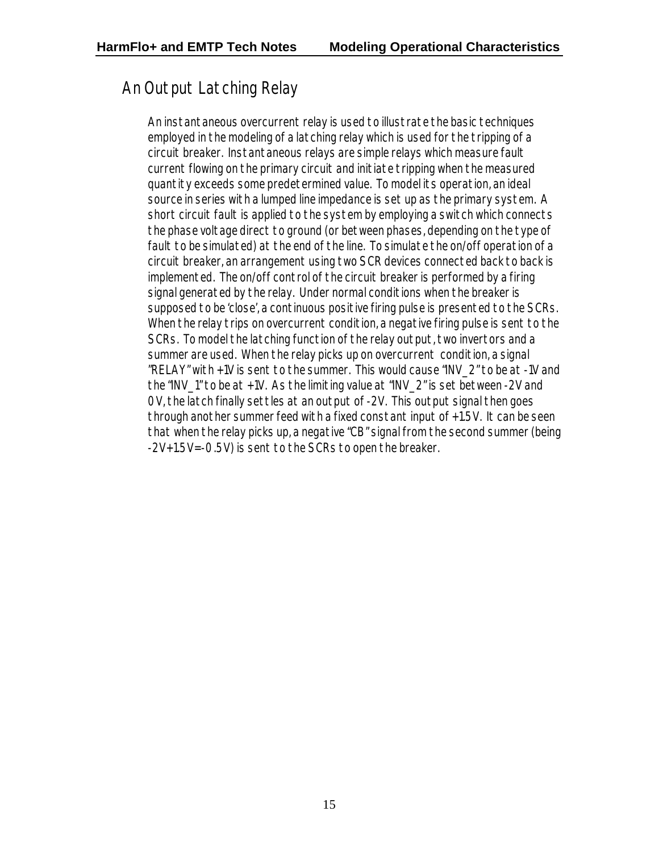# An Output Latching Relay

An instantaneous overcurrent relay is used to illustrate the basic techniques employed in the modeling of a latching relay which is used for the tripping of a circuit breaker. Instantaneous relays are simple relays which measure fault current flowing on the primary circuit and initiate tripping when the measured quantity exceeds some predetermined value. To model its operation, an ideal source in series with a lumped line impedance is set up as the primary system. A short circuit fault is applied to the system by employing a switch which connects the phase voltage direct to ground (or between phases, depending on the type of fault to be simulated) at the end of the line. To simulate the on/off operation of a circuit breaker, an arrangement using two SCR devices connected back to back is implemented. The on/off control of the circuit breaker is performed by a firing signal generated by the relay. Under normal conditions when the breaker is supposed to be 'close', a continuous positive firing pulse is presented to the SCRs. When the relay trips on overcurrent condition, a negative firing pulse is sent to the SCRs. To model the latching function of the relay output, two invertors and a summer are used. When the relay picks up on overcurrent condition, a signal "RELAY" with +1V is sent to the summer. This would cause "INV\_2" to be at -1V and the "INV 1" to be at +1V. As the limiting value at "INV 2" is set between -2V and 0V, the latch finally settles at an output of -2V. This output signal then goes through another summer feed with a fixed constant input of +1.5V. It can be seen that when the relay picks up, a negative "CB" signal from the second summer (being -2V+1.5V=-0.5V) is sent to the SCRs to open the breaker.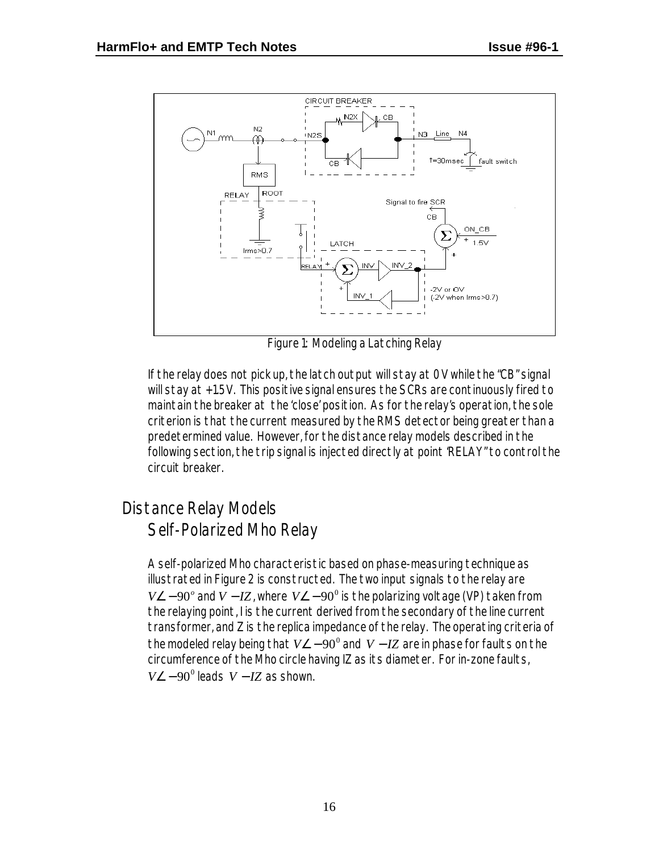

Figure 1: Modeling a Latching Relay

If the relay does not pick up, the latch output will stay at 0V while the "CB" signal will stay at +1.5V. This positive signal ensures the SCRs are continuously fired to maintain the breaker at the 'close' position. As for the relay's operation, the sole criterion is that the current measured by the RMS detector being greater than a predetermined value. However, for the distance relay models described in the following section, the trip signal is injected directly at point 'RELAY" to control the circuit breaker.

# Distance Relay Models Self-Polarized Mho Relay

A self-polarized Mho characteristic based on phase-measuring technique as illustrated in Figure 2 is constructed. The two input signals to the relay are *V*∠−90° and *V* −*I*Z, where *V*∠−90° is the polarizing voltage (VP) taken from the relaying point, I is the current derived from the secondary of the line current transformer, and Z is the replica impedance of the relay. The operating criteria of the modeled relay being that  $V\angle -90^\circ$  and  $V-IZ$  are in phase for faults on the circumference of the Mho circle having IZ as its diameter. For in-zone faults,  $V \angle -90^{\circ}$  leads  $V - IZ$  as shown.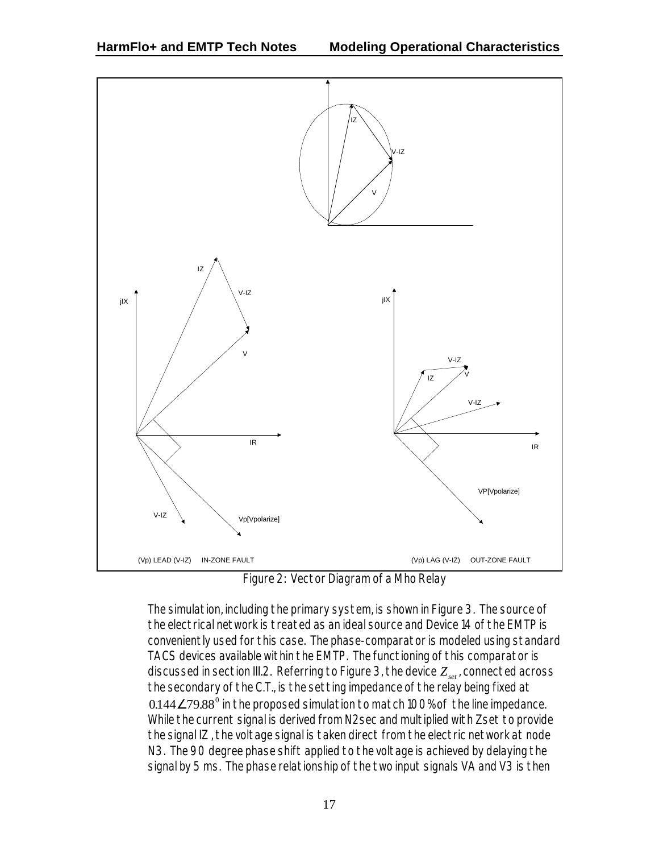

Figure 2: Vector Diagram of a Mho Relay

The simulation, including the primary system, is shown in Figure 3. The source of the electrical network is treated as an ideal source and Device 14 of the EMTP is conveniently used for this case. The phase-comparator is modeled using standard TACS devices available within the EMTP. The functioning of this comparator is discussed in section III.2. Referring to Figure 3, the device *Zset* , connected across the secondary of the C.T., is the setting impedance of the relay being fixed at  $0.144\angle 79.88^{\text{o}}$  in the proposed simulation to match 100% of the line impedance. While the current signal is derived from N2sec and multiplied with Zset to provide the signal IZ , the voltage signal is taken direct from the electric network at node N3. The 90 degree phase shift applied to the voltage is achieved by delaying the signal by 5 ms. The phase relationship of the two input signals VA and V3 is then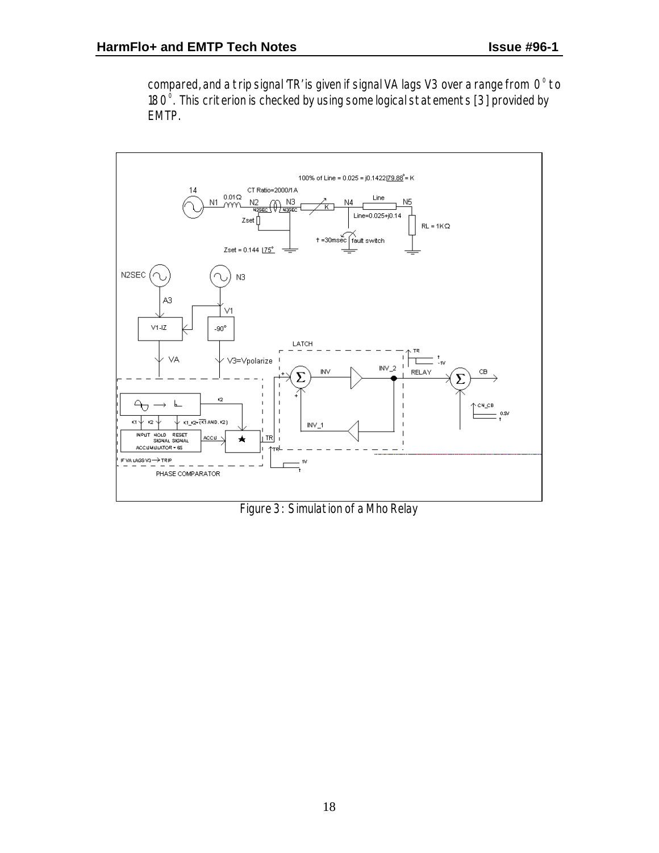compared, and a trip signal 'TR' is given if signal VA lags V3 over a range from  $\,\mathrm{O}^\mathrm{o}$  to 180 $^{\circ}$ . This criterion is checked by using some logical statements [3] provided by EMTP.



Figure 3: Simulation of a Mho Relay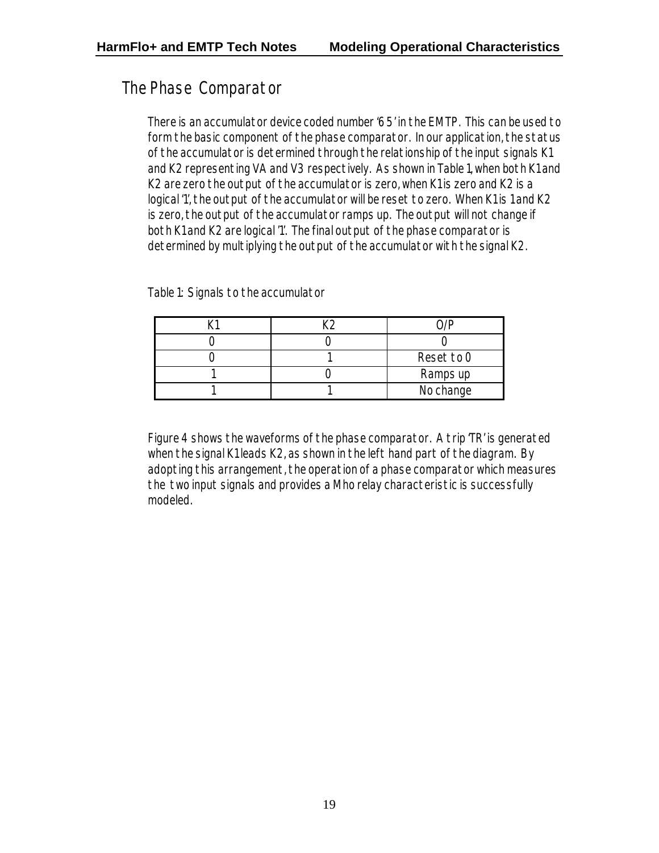### The Phase Comparator

There is an accumulator device coded number '65' in the EMTP. This can be used to form the basic component of the phase comparator. In our application, the status of the accumulator is determined through the relationship of the input signals K1 and K2 representing VA and V3 respectively. As shown in Table 1, when both K1 and K2 are zero the output of the accumulator is zero, when K1 is zero and K2 is a logical '1', the output of the accumulator will be reset to zero. When K1 is 1 and K2 is zero, the output of the accumulator ramps up. The output will not change if both K1 and K2 are logical '1'. The final output of the phase comparator is determined by multiplying the output of the accumulator with the signal K2.

Table 1: Signals to the accumulator

|  | Reset to O |
|--|------------|
|  | Ramps up   |
|  | No change  |

Figure 4 shows the waveforms of the phase comparator. A trip 'TR' is generated when the signal K1 leads K2, as shown in the left hand part of the diagram. By adopting this arrangement, the operation of a phase comparator which measures the two input signals and provides a Mho relay characteristic is successfully modeled.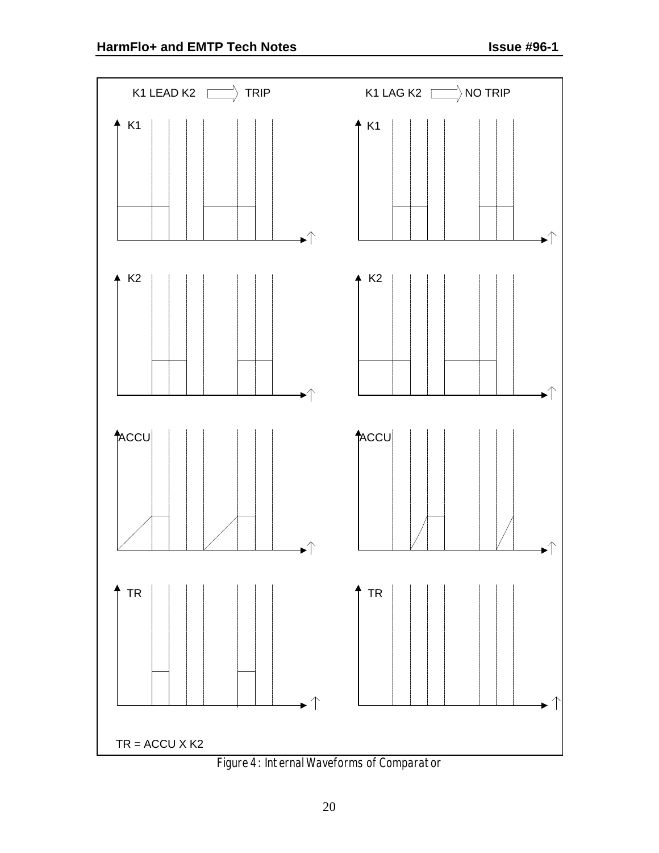

Figure 4: Internal Waveforms of Comparator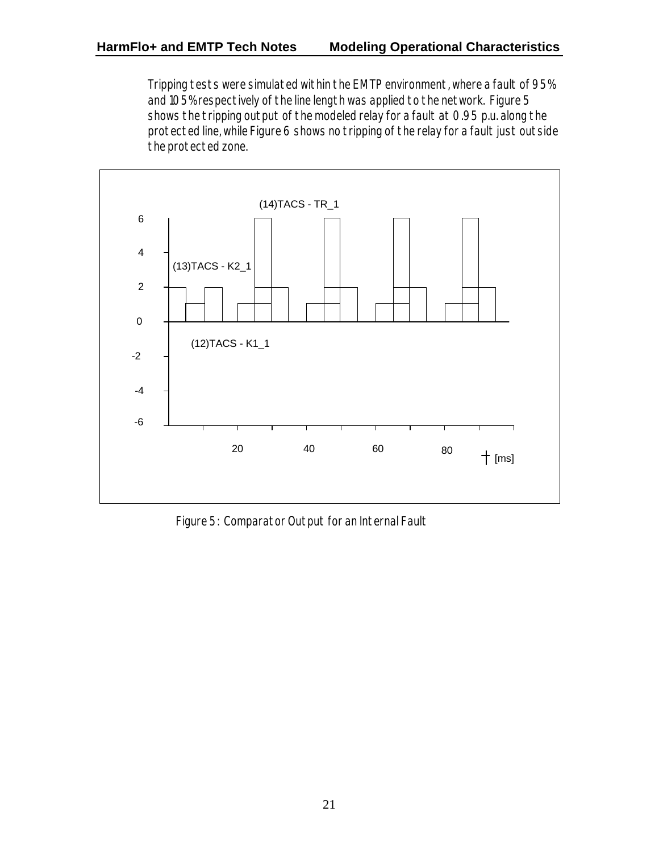Tripping tests were simulated within the EMTP environment, where a fault of 95% and 105% respectively of the line length was applied to the network. Figure 5 shows the tripping output of the modeled relay for a fault at 0.95 p.u. along the protected line, while Figure 6 shows no tripping of the relay for a fault just outside the protected zone.



Figure 5: Comparator Output for an Internal Fault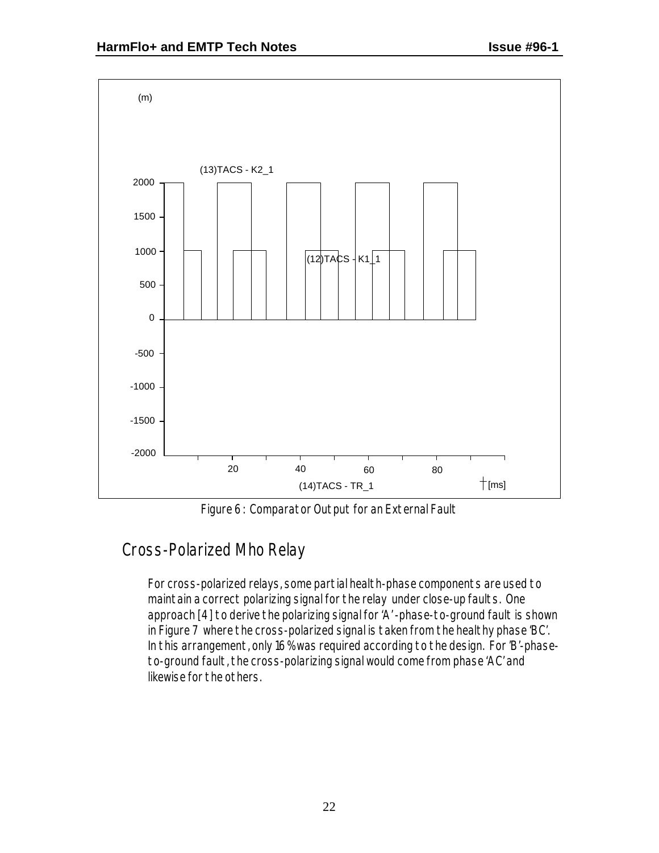

Figure 6: Comparator Output for an External Fault

# Cross-Polarized Mho Relay

For cross-polarized relays, some partial health-phase components are used to maintain a correct polarizing signal for the relay under close-up faults. One approach [4] to derive the polarizing signal for 'A' -phase-to-ground fault is shown in Figure 7 where the cross-polarized signal is taken from the healthy phase 'BC'. In this arrangement, only 16% was required according to the design. For 'B'-phaseto-ground fault, the cross-polarizing signal would come from phase 'AC' and likewise for the others.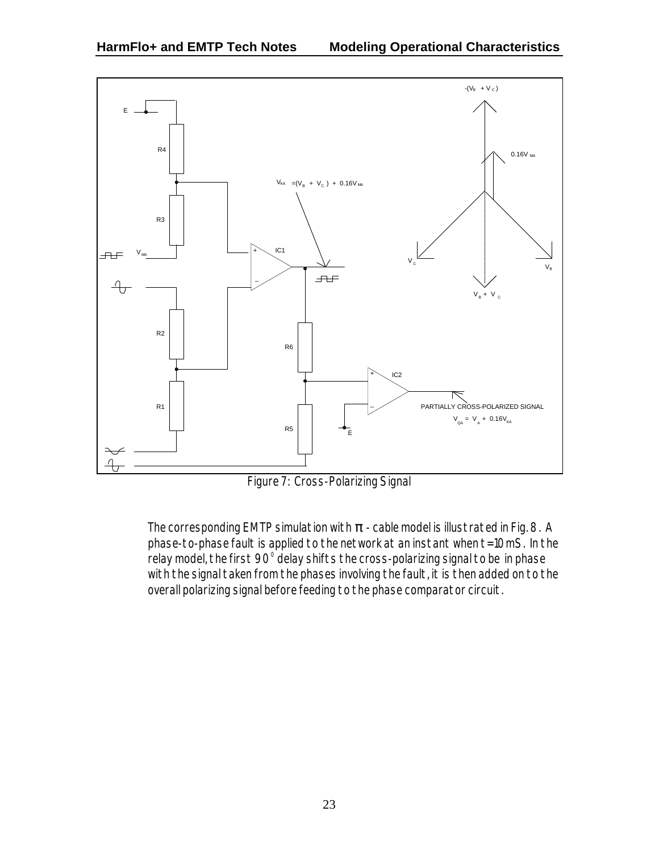

Figure 7: Cross-Polarizing Signal

The corresponding EMTP simulation with *p* - cable model is illustrated in Fig. 8. A phase-to-phase fault is applied to the network at an instant when t=10mS. In the relay model, the first 90 $^{\circ}$  delay shifts the cross-polarizing signal to be $\,$  in phase with the signal taken from the phases involving the fault, it is then added on to the overall polarizing signal before feeding to the phase comparator circuit.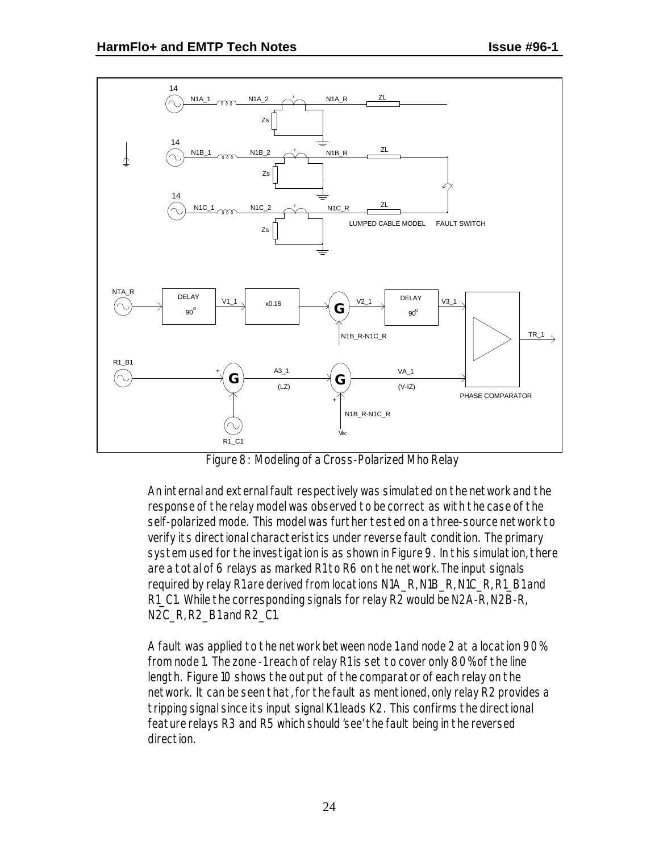

Figure 8: Modeling of a Cross-Polarized Mho Relay

An internal and external fault respectively was simulated on the network and the response of the relay model was observed to be correct as with the case of the self-polarized mode. This model was further tested on a three-source network to verify its directional characteristics under reverse fault condition. The primary system used for the investigation is as shown in Figure 9. In this simulation, there are a total of 6 relays as marked R1 to R6 on the network. The input signals required by relay R1 are derived from locations N1A\_R, N1B\_R, N1C\_R, R1\_B1 and R1\_C1. While the corresponding signals for relay R2 would be N2A-R, N2B-R, N2C\_R, R2\_B1 and R2\_C1.

A fault was applied to the network between node 1 and node 2 at a location 90% from node 1. The zone -1 reach of relay R1 is set to cover only 80% of the line length. Figure 10 shows the output of the comparator of each relay on the network. It can be seen that, for the fault as mentioned, only relay R2 provides a tripping signal since its input signal K1 leads K2. This confirms the directional feature relays R3 and R5 which should 'see' the fault being in the reversed direction.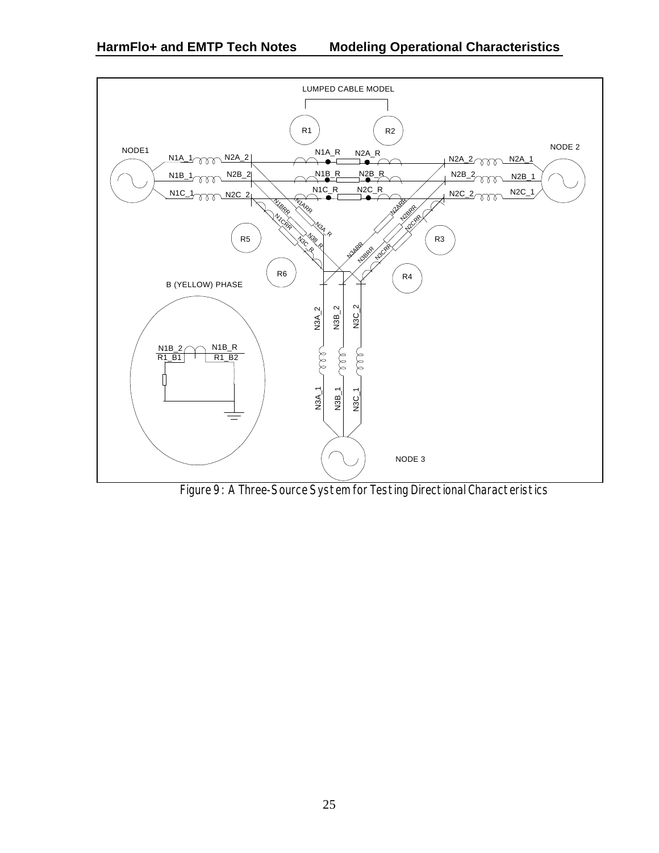

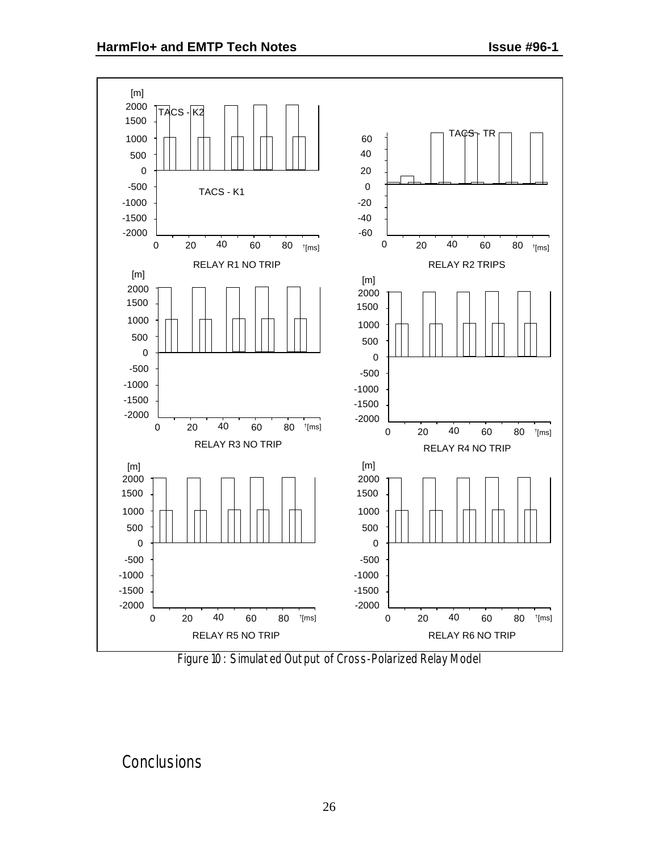



#### **Conclusions**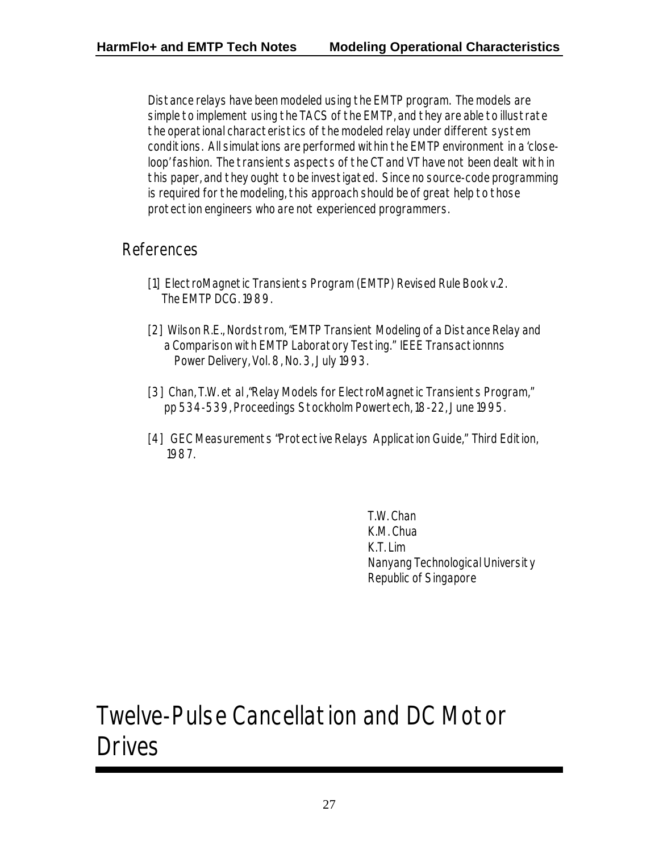Distance relays have been modeled using the EMTP program. The models are simple to implement using the TACS of the EMTP, and they are able to illustrate the operational characteristics of the modeled relay under different system conditions. All simulations are performed within the EMTP environment in a 'closeloop' fashion. The transients aspects of the CT and VT have not been dealt with in this paper, and they ought to be investigated. Since no source-code programming is required for the modeling, this approach should be of great help to those protection engineers who are not experienced programmers.

#### References

- [1] ElectroMagnetic Transients Program (EMTP) Revised Rule Book v.2. The EMTP DCG. 1989.
- [2] Wilson R.E., Nordstrom, "EMTP Transient Modeling of a Distance Relay and a Comparison with EMTP Laboratory Testing." IEEE Transactionnns Power Delivery, Vol. 8, No. 3, July 1993.
- [3] Chan, T.W. et al ,"Relay Models for ElectroMagnetic Transients Program," pp 534-539, Proceedings Stockholm Powertech, 18-22, June 1995.
- [4] GEC Measurements "Protective Relays Application Guide," Third Edition, 1987.

T.W. Chan K.M. Chua K.T. Lim Nanyang Technological University Republic of Singapore

# Twelve-Pulse Cancellation and DC Motor Drives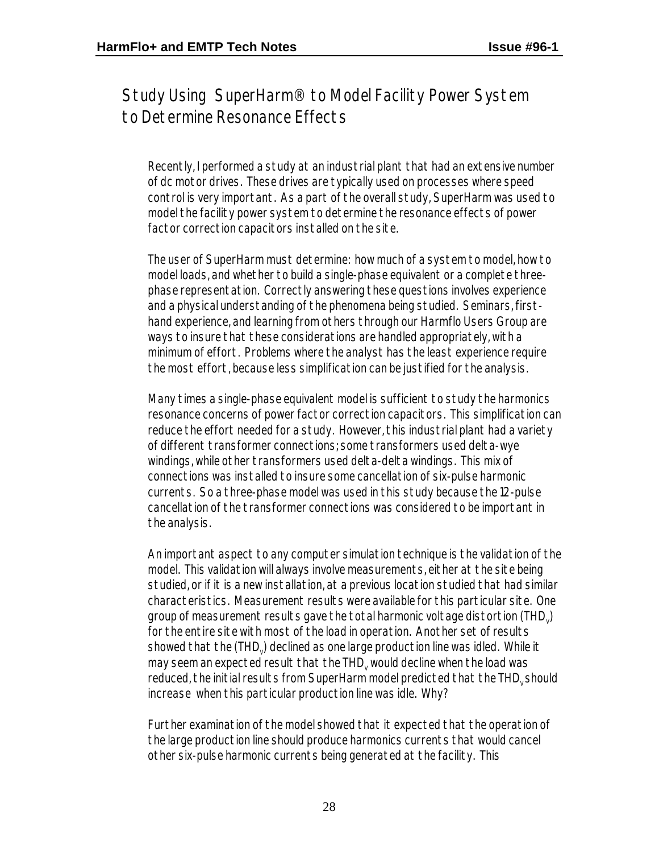Study Using SuperHarm® to Model Facility Power System to Determine Resonance Effects

Recently, I performed a study at an industrial plant that had an extensive number of dc motor drives. These drives are typically used on processes where speed control is very important. As a part of the overall study, SuperHarm was used to model the facility power system to determine the resonance effects of power factor correction capacitors installed on the site.

The user of SuperHarm must determine: how much of a system to model, how to model loads, and whether to build a single-phase equivalent or a complete threephase representation. Correctly answering these questions involves experience and a physical understanding of the phenomena being studied. Seminars, firsthand experience, and learning from others through our Harmflo Users Group are ways to insure that these considerations are handled appropriately, with a minimum of effort. Problems where the analyst has the least experience require the most effort, because less simplification can be justified for the analysis.

Many times a single-phase equivalent model is sufficient to study the harmonics resonance concerns of power factor correction capacitors. This simplification can reduce the effort needed for a study. However, this industrial plant had a variety of different transformer connections; some transformers used delta-wye windings, while other transformers used delta-delta windings. This mix of connections was installed to insure some cancellation of six-pulse harmonic currents. So a three-phase model was used in this study because the 12-pulse cancellation of the transformer connections was considered to be important in the analysis.

An important aspect to any computer simulation technique is the validation of the model. This validation will always involve measurements, either at the site being studied, or if it is a new installation, at a previous location studied that had similar characteristics. Measurement results were available for this particular site. One group of measurement results gave the total harmonic voltage distortion (THD $_{\rm v}$ ) for the entire site with most of the load in operation. Another set of results showed that the (THD $_{\rm v}$ ) declined as one large production line was idled. While it may seem an expected result that the THD $_{\rm v}$  would decline when the load was reduced, the initial results from SuperHarm model predicted that the THD<sub>v</sub> should increase when this particular production line was idle. Why?

Further examination of the model showed that it expected that the operation of the large production line should produce harmonics currents that would cancel other six-pulse harmonic currents being generated at the facility. This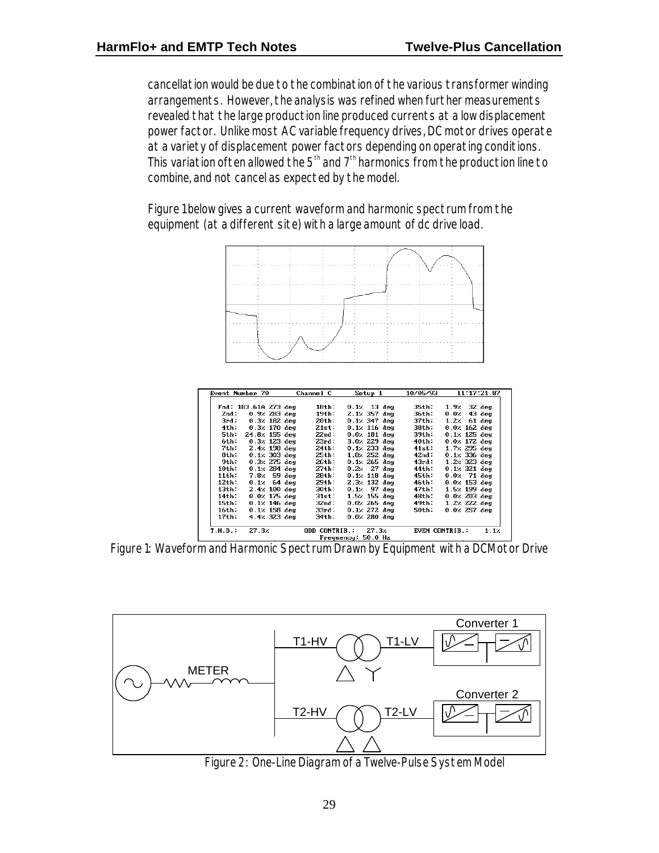cancellation would be due to the combination of the various transformer winding arrangements. However, the analysis was refined when further measurements revealed that the large production line produced currents at a low displacement power factor. Unlike most AC variable frequency drives, DC motor drives operate at a variety of displacement power factors depending on operating conditions. This variation of ten allowed the  $5<sup>th</sup>$  and  $7<sup>th</sup>$  harmonics from the production line to combine, and not cancel as expected by the model.

Figure 1 below gives a current waveform and harmonic spectrum from the equipment (at a different site) with a large amount of dc drive load.



| Event Number 70      |                        |  | Channel C        | Setup 1                     | 10/05/93              |      | 11:17:21.87            |
|----------------------|------------------------|--|------------------|-----------------------------|-----------------------|------|------------------------|
| Fnd: 183.61A 273 deg |                        |  | 18th:            | $0.12 \quad 13 \text{ deg}$ | 35th:                 |      | $1.9$ . 32 deg         |
| 2nd:                 | $0.9$ $283$ deg        |  | 19th:            | $2.12.357$ deg              | 36th:                 | 0.02 | $43$ deg               |
| 3rd:                 | $0.3$ % 182 deg        |  | 20th:            | 0.1% 347 deg                | 37th:                 |      | 1.2 $\times$ 61 deg    |
| 4th :                | 0.3% 170 deg           |  | 21st:            | $0.1$ $\times$ 116 deg      | 38th:                 |      | $0.02162 \text{ deg}$  |
| 5th:                 | 24.8% 155 deg          |  | 22nd:            | $0.02$ 181 deg              | 39th:                 |      | $0.1$ $\times$ 125 deg |
| 6th:                 | $0.321$ $123$ deg      |  | 23rd:            | 3.0% 229 deg                | 40th:                 |      | $0.02172 \text{ deg}$  |
| 7th:                 | $2.4$ $\times$ 198 deg |  | 24th:            | $0.12$ 233 deg              | 41st:                 |      | $1.72$ 295 deg         |
| 8th:                 | $0.1233$ deg           |  | 25th:            | $1.822$ deg                 | 42nd:                 |      | $0.12336$ deg          |
| 9th:                 | $0.32 275$ deg         |  | 26th:            | $0.122565$ deg              | 43rd:                 |      | $1.22.323$ deg         |
| 10th:                | $0.12.284$ deg         |  | 27th:            | $0.22 \, 27 \, \text{deg}$  | 44th:                 |      | $0.1231$ deg           |
| 11th:                | $7.8z$ 59 deg          |  | 28th:            | $0.12$ 118 deg              | 45th:                 |      | 0.02 71 deg            |
| 12th:                | $0.12.64$ deg          |  | 29th:            | $2.3$ $\times$ 132 deg      | 46th:                 |      | $0.02153$ deg          |
| 13th:                | $2.4$ $\times$ 100 deg |  | 30th:            | $0.12 \quad 97$ deg         | 47th:                 |      | $1.52 199$ deg         |
| 14th :               | $0.0$ $\times$ 175 deg |  | 31st:            | $1.5$ $\times$ 155 deg      | 48th:                 |      | $0.0$ $\times$ 203 deg |
| 15th :               | $0.12146$ deg          |  | 32nd :           | $0.02265$ deg               | 49th:                 |      | $1.22$ $222$ deg       |
| 16th:                | $0.12 158$ deg         |  | 33rd:            | $0.12$ 272 deg              | 50th:                 |      | $0.02257$ deg          |
| 17th :               | $4.4$ $\times$ 323 deg |  | $34th$ :         | $0.02280 \text{ deg}$       |                       |      |                        |
| T.H.D.               | 27.3z                  |  | CONTRIB.:<br>המח | 27.3z                       | <b>EVEN CONTRIB.:</b> |      | 1.1x                   |

Figure 1: Waveform and Harmonic Spectrum Drawn by Equipment with a DCMotor Drive



Figure 2: One-Line Diagram of a Twelve-Pulse System Model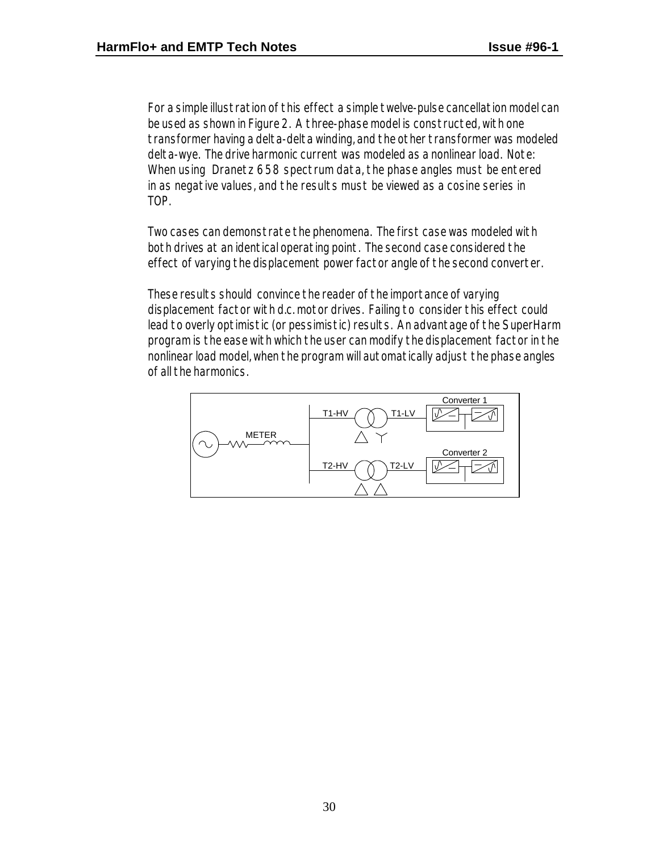For a simple illustration of this effect a simple twelve-pulse cancellation model can be used as shown in Figure 2. A three-phase model is constructed, with one transformer having a delta-delta winding, and the other transformer was modeled delta-wye. The drive harmonic current was modeled as a nonlinear load. Note: When using Dranetz 658 spectrum data, the phase angles must be entered in as negative values, and the results must be viewed as a cosine series in TOP.

Two cases can demonstrate the phenomena. The first case was modeled with both drives at an identical operating point. The second case considered the effect of varying the displacement power factor angle of the second converter.

These results should convince the reader of the importance of varying displacement factor with d.c. motor drives. Failing to consider this effect could lead to overly optimistic (or pessimistic) results. An advantage of the SuperHarm program is the ease with which the user can modify the displacement factor in the nonlinear load model, when the program will automatically adjust the phase angles of all the harmonics.